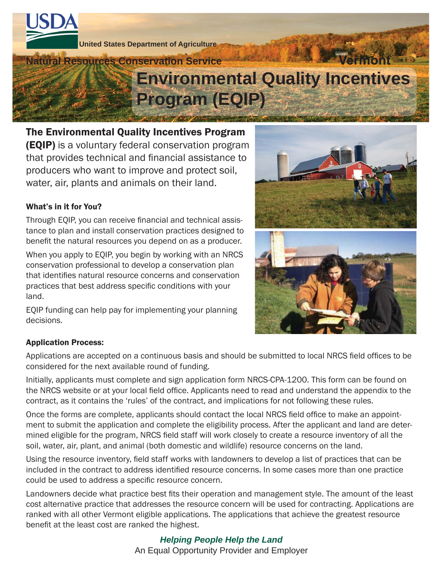

The Environmental Quality Incentives Program (EQIP) is a voluntary federal conservation program that provides technical and financial assistance to producers who want to improve and protect soil, water, air, plants and animals on their land.

## What's in it for You?

Through EQIP, you can receive financial and technical assistance to plan and install conservation practices designed to benefit the natural resources you depend on as a producer.

When you apply to EQIP, you begin by working with an NRCS conservation professional to develop a conservation plan that identifies natural resource concerns and conservation practices that best address specific conditions with your land.

EQIP funding can help pay for implementing your planning decisions.





#### Application Process:

Applications are accepted on a continuous basis and should be submitted to local NRCS field offices to be considered for the next available round of funding.

Initially, applicants must complete and sign application form NRCS-CPA-1200. This form can be found on the NRCS website or at your local field office. Applicants need to read and understand the appendix to the contract, as it contains the 'rules' of the contract, and implications for not following these rules.

Once the forms are complete, applicants should contact the local NRCS field office to make an appointment to submit the application and complete the eligibility process. After the applicant and land are determined eligible for the program, NRCS field staff will work closely to create a resource inventory of all the soil, water, air, plant, and animal (both domestic and wildlife) resource concerns on the land.

Using the resource inventory, field staff works with landowners to develop a list of practices that can be included in the contract to address identified resource concerns. In some cases more than one practice could be used to address a specific resource concern.

Landowners decide what practice best fits their operation and management style. The amount of the least cost alternative practice that addresses the resource concern will be used for contracting. Applications are ranked with all other Vermont eligible applications. The applications that achieve the greatest resource benefit at the least cost are ranked the highest.

## *Helping People Help the Land*

An Equal Opportunity Provider and Employer